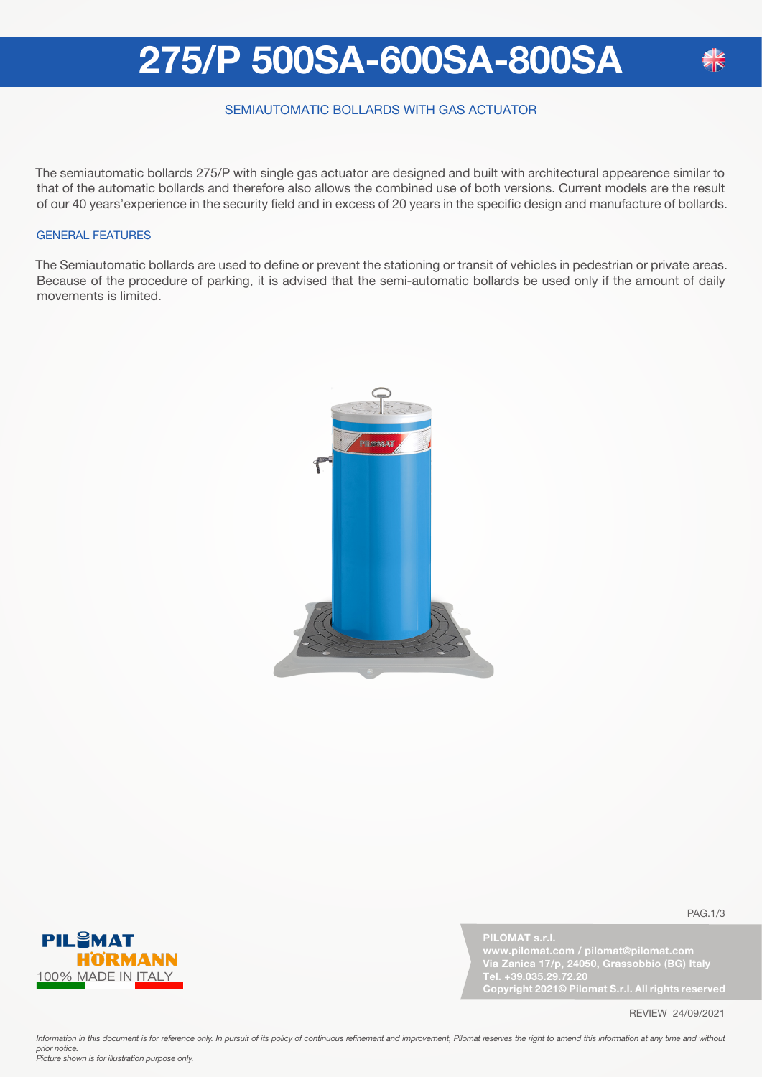### **275/P 500SA-600SA-800SA**

### SEMIAUTOMATIC BOLLARDS WITH GAS ACTUATOR

The semiautomatic bollards 275/P with single gas actuator are designed and built with architectural appearence similar to that of the automatic bollards and therefore also allows the combined use of both versions. Current models are the result of our 40 years'experience in the security field and in excess of 20 years in the specific design and manufacture of bollards.

#### GENERAL FEATURES

The Semiautomatic bollards are used to define or prevent the stationing or transit of vehicles in pedestrian or private areas. Because of the procedure of parking, it is advised that the semi-automatic bollards be used only if the amount of daily movements is limited.





**PILOMAT s.r.l.**

**Via Zanica 17/p, 24050, Grassobbio (BG) Italy Tel. +39.035.29.72.20 Copyright 2021© Pilomat S.r.l. All rights reserved**

PAG.1/3

REVIEW 24/09/2021

Information in this document is for reference only. In pursuit of its policy of continuous refinement and improvement, Pilomat reserves the right to amend this information at any time and without *prior notice. Picture shown is for illustration purpose only.*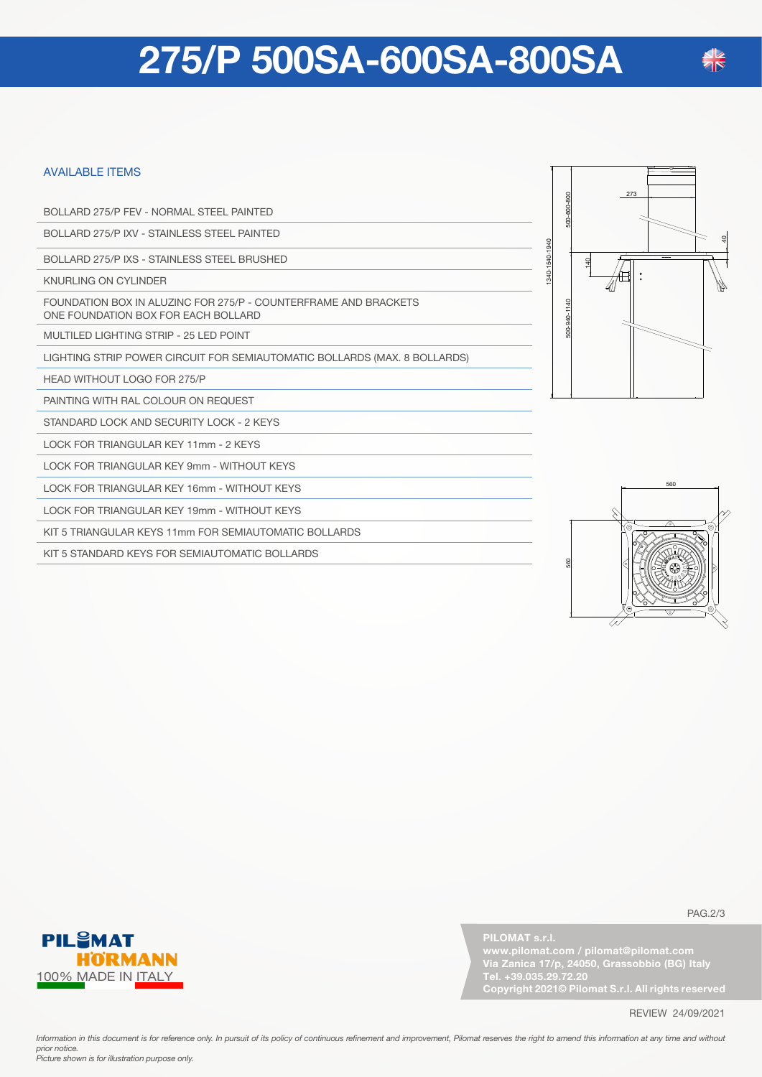## **275/P 500SA-600SA-800SA**

#### AVAILABLE ITEMS

BOLLARD 275/P FEV - NORMAL STEEL PAINTED

BOLLARD 275/P IXV - STAINLESS STEEL PAINTED

BOLLARD 275/P IXS - STAINLESS STEEL BRUSHED

KNURLING ON CYLINDER

FOUNDATION BOX IN ALUZINC FOR 275/P - COUNTERFRAME AND BRACKETS ONE FOUNDATION BOX FOR EACH BOLLARD

MULTILED LIGHTING STRIP - 25 LED POINT

LIGHTING STRIP POWER CIRCUIT FOR SEMIAUTOMATIC BOLLARDS (MAX. 8 BOLLARDS)

HEAD WITHOUT LOGO FOR 275/P

PAINTING WITH RAL COLOUR ON REQUEST

STANDARD LOCK AND SECURITY LOCK - 2 KEYS

LOCK FOR TRIANGULAR KEY 11mm - 2 KEYS

LOCK FOR TRIANGULAR KEY 9mm - WITHOUT KEYS

LOCK FOR TRIANGULAR KEY 16mm - WITHOUT KEYS

LOCK FOR TRIANGULAR KEY 19mm - WITHOUT KEYS

KIT 5 TRIANGULAR KEYS 11mm FOR SEMIAUTOMATIC BOLLARDS

KIT 5 STANDARD KEYS FOR SEMIAUTOMATIC BOLLARDS







**PILOMAT s.r.l.**

**Via Zanica 17/p, 24050, Grassobbio (BG) Italy Tel. +39.035.29.72.20 Copyright 2021© Pilomat S.r.l. All rights reserved**

PAG.2/3

REVIEW 24/09/2021

Information in this document is for reference only. In pursuit of its policy of continuous refinement and improvement, Pilomat reserves the right to amend this information at any time and without *prior notice. Picture shown is for illustration purpose only.*